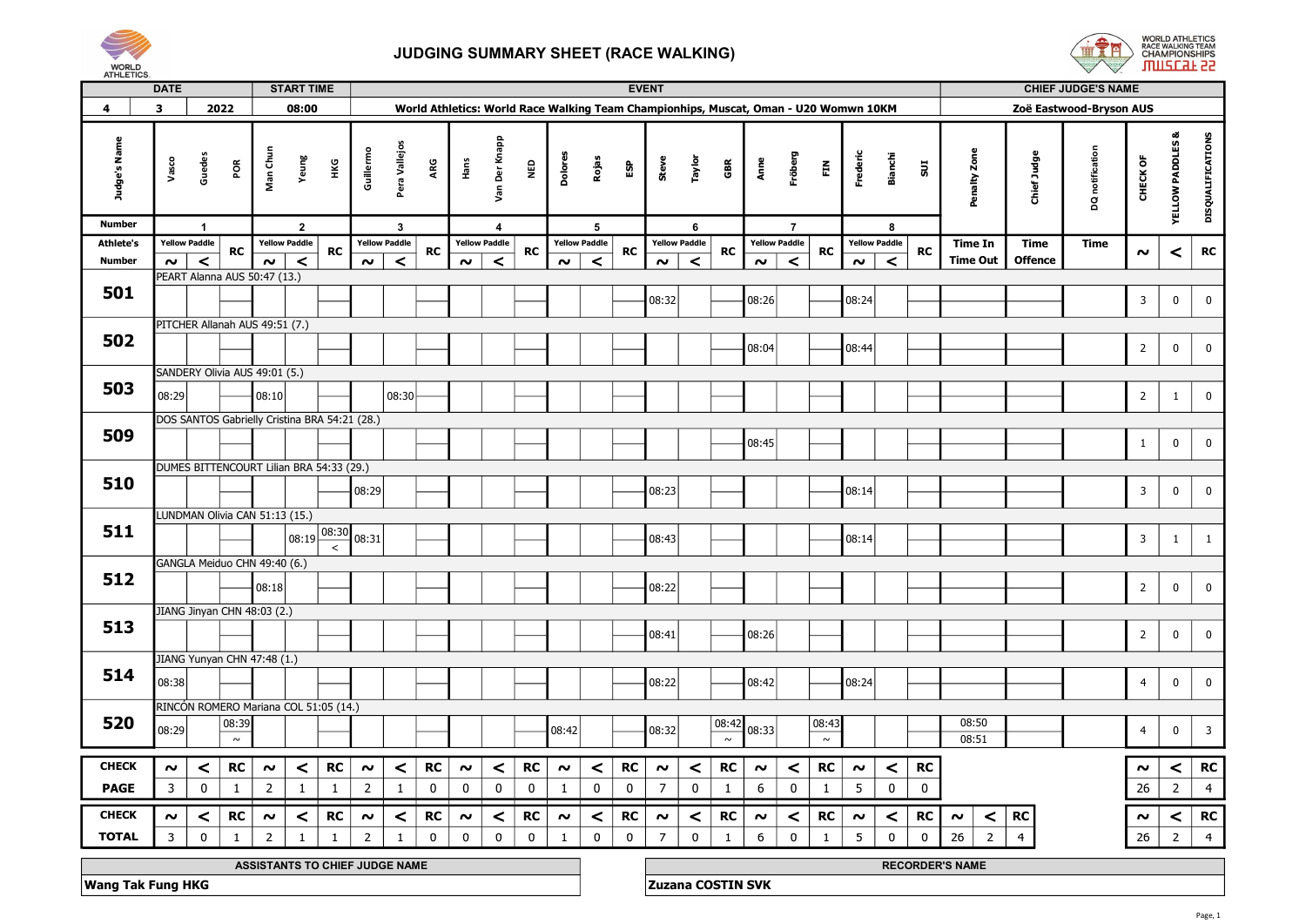



|                          |              | <b>DATE</b>          |                |                                          |                     | <b>START TIME</b>    |                   |                                               |                                |              |             |                      |             |                     |                      |             | <b>EVENT</b>                                                                         |                      |                 |        |                      |                 |                     |                      |             |                        |                | <b>CHIEF JUDGE'S NAME</b> |                         |                             |                         |  |
|--------------------------|--------------|----------------------|----------------|------------------------------------------|---------------------|----------------------|-------------------|-----------------------------------------------|--------------------------------|--------------|-------------|----------------------|-------------|---------------------|----------------------|-------------|--------------------------------------------------------------------------------------|----------------------|-----------------|--------|----------------------|-----------------|---------------------|----------------------|-------------|------------------------|----------------|---------------------------|-------------------------|-----------------------------|-------------------------|--|
| 4                        | $\mathbf{3}$ |                      |                | 2022                                     |                     | 08:00                |                   |                                               |                                |              |             |                      |             |                     |                      |             | World Athletics: World Race Walking Team Championhips, Muscat, Oman - U20 Womwn 10KM |                      |                 |        |                      |                 |                     |                      |             |                        |                | Zoë Eastwood-Bryson AUS   |                         |                             |                         |  |
| Judge's Name             |              | Vasco                | Guedes         | ΡÕ                                       | Man Ch              | Yeung                | НKG               | Guillermo                                     | Pera Vallejos                  | ARG          | Hans        | Der Knapp<br>Sev     | <b>Q3M</b>  | Dolores             | Rojas                | ន្ធ         | Steve                                                                                | Taylor               | GBR             | Anne   | Fröberg              | 臣               | Frederic            | Bianchi              | 50          | Penalty Zon            | Chief Judge    | DQ notification           | CHECK OF                | <b>YELLOW PADDLES &amp;</b> | DISQUALIFICATIONS       |  |
| <b>Number</b>            |              |                      | $\overline{1}$ |                                          |                     | $\overline{2}$       |                   |                                               | $\mathbf{3}$                   |              |             | $\overline{a}$       |             |                     | 5                    |             |                                                                                      | 6                    |                 |        | $\overline{7}$       |                 |                     | -8                   |             |                        |                |                           |                         |                             |                         |  |
| <b>Athlete's</b>         |              | <b>Yellow Paddle</b> |                | <b>RC</b>                                |                     | <b>Yellow Paddle</b> | RC                |                                               | <b>Yellow Paddle</b>           | <b>RC</b>    |             | <b>Yellow Paddle</b> | <b>RC</b>   |                     | <b>Yellow Paddle</b> | <b>RC</b>   |                                                                                      | <b>Yellow Paddle</b> | <b>RC</b>       |        | <b>Yellow Paddle</b> | <b>RC</b>       |                     | <b>Yellow Paddle</b> | <b>RC</b>   | <b>Time In</b>         | Time           | Time                      | $\sim$                  | $\,<$                       | RC                      |  |
| <b>Number</b>            |              | $\sim$               | $\prec$        |                                          | $\sim$ $\mid$       | $\prec$              |                   | $\sim$                                        | $\prec$                        |              | $\sim$      | $\,<$                |             | $\sim$              | $\prec$              |             | $\sim$                                                                               | $\,<$                |                 | $\sim$ | $\prec$              |                 | $\sim$              | $\prec$              |             | <b>Time Out</b>        | <b>Offence</b> |                           |                         |                             |                         |  |
| 501                      |              |                      |                | PEART Alanna AUS 50:47 (13.)             |                     |                      |                   |                                               |                                |              |             |                      |             |                     |                      |             | 08:32                                                                                |                      |                 | 08:26  |                      |                 | 08:24               |                      |             |                        |                |                           | $\overline{\mathbf{3}}$ | $\bf{0}$                    | $\mathbf 0$             |  |
|                          |              |                      |                |                                          |                     |                      |                   |                                               |                                |              |             |                      |             |                     |                      |             |                                                                                      |                      |                 |        |                      |                 |                     |                      |             |                        |                |                           |                         |                             |                         |  |
| 502                      |              |                      |                | PITCHER Allanah AUS 49:51 (7.)           |                     |                      |                   |                                               |                                |              |             |                      |             |                     |                      |             |                                                                                      |                      |                 |        |                      |                 |                     |                      |             |                        |                |                           |                         |                             |                         |  |
|                          |              |                      |                |                                          |                     |                      |                   |                                               |                                |              |             |                      |             |                     |                      |             |                                                                                      |                      |                 | 08:04  |                      |                 | 08:44               |                      |             |                        |                |                           | $\overline{2}$          | $\bf{0}$                    | $\mathbf 0$             |  |
|                          |              |                      |                | SANDERY Olivia AUS 49:01 (5.)            |                     |                      |                   |                                               |                                |              |             |                      |             |                     |                      |             |                                                                                      |                      |                 |        |                      |                 |                     |                      |             |                        |                |                           |                         |                             |                         |  |
| 503                      |              | 08:29                |                |                                          | 08:10               |                      |                   |                                               | 08:30                          |              |             |                      |             |                     |                      |             |                                                                                      |                      |                 |        |                      |                 |                     |                      |             |                        |                |                           | $\overline{2}$          | $\mathbf{1}$                | $\mathbf 0$             |  |
|                          |              |                      |                |                                          |                     |                      |                   | DOS SANTOS Gabrielly Cristina BRA 54:21 (28.) |                                |              |             |                      |             |                     |                      |             |                                                                                      |                      |                 |        |                      |                 |                     |                      |             |                        |                |                           |                         |                             |                         |  |
| 509                      |              |                      |                |                                          |                     |                      |                   |                                               |                                |              |             |                      |             |                     |                      |             |                                                                                      |                      |                 | 08:45  |                      |                 |                     |                      |             |                        |                |                           | $\mathbf{1}$            | $\pmb{0}$                   | $\mathbf 0$             |  |
|                          |              |                      |                | DUMES BITTENCOURT Lilian BRA 54:33 (29.) |                     |                      |                   |                                               |                                |              |             |                      |             |                     |                      |             |                                                                                      |                      |                 |        |                      |                 |                     |                      |             |                        |                |                           |                         |                             |                         |  |
| 510                      |              |                      |                |                                          |                     |                      |                   | 08:29                                         |                                |              |             |                      |             |                     |                      |             | 08:23                                                                                |                      |                 |        |                      |                 | 08:14               |                      |             |                        |                |                           | $\overline{3}$          | $\mathbf 0$                 | $\mathbf 0$             |  |
|                          |              |                      |                | LUNDMAN Olivia CAN 51:13 (15.)           |                     |                      |                   |                                               |                                |              |             |                      |             |                     |                      |             |                                                                                      |                      |                 |        |                      |                 |                     |                      |             |                        |                |                           |                         |                             |                         |  |
| 511                      |              |                      |                |                                          |                     |                      | $1_{08:19}$ 08:30 | 08:31                                         |                                |              |             |                      |             |                     |                      |             | 08:43                                                                                |                      |                 |        |                      |                 | 08:14               |                      |             |                        |                |                           | $\overline{\mathbf{3}}$ | $\mathbf{1}$                | $\mathbf{1}$            |  |
|                          |              |                      |                | GANGLA Meiduo CHN 49:40 (6.)             |                     |                      | $\,<$             |                                               |                                |              |             |                      |             |                     |                      |             |                                                                                      |                      |                 |        |                      |                 |                     |                      |             |                        |                |                           |                         |                             |                         |  |
| 512                      |              |                      |                |                                          |                     |                      |                   |                                               |                                |              |             |                      |             |                     |                      |             |                                                                                      |                      |                 |        |                      |                 |                     |                      |             |                        |                |                           |                         |                             |                         |  |
|                          |              |                      |                |                                          | 08:18               |                      |                   |                                               |                                |              |             |                      |             |                     |                      |             | 08:22                                                                                |                      |                 |        |                      |                 |                     |                      |             |                        |                |                           | $\overline{2}$          | $\bf{0}$                    | $\mathbf 0$             |  |
|                          |              |                      |                | JIANG Jinyan CHN 48:03 (2.)              |                     |                      |                   |                                               |                                |              |             |                      |             |                     |                      |             |                                                                                      |                      |                 |        |                      |                 |                     |                      |             |                        |                |                           |                         |                             |                         |  |
| 513                      |              |                      |                |                                          |                     |                      |                   |                                               |                                |              |             |                      |             |                     |                      |             | 08:41                                                                                |                      |                 | 08:26  |                      |                 |                     |                      |             |                        |                |                           | $\overline{2}$          | $\mathbf 0$                 | $\mathbf 0$             |  |
|                          |              |                      |                | JIANG Yunyan CHN 47:48 (1.)              |                     |                      |                   |                                               |                                |              |             |                      |             |                     |                      |             |                                                                                      |                      |                 |        |                      |                 |                     |                      |             |                        |                |                           |                         |                             |                         |  |
| 514                      |              | 08:38                |                |                                          |                     |                      |                   |                                               |                                |              |             |                      |             |                     |                      |             | 08:22                                                                                |                      |                 | 08:42  |                      |                 | 08:24               |                      |             |                        |                |                           | $\overline{4}$          | $\pmb{0}$                   | $\mathbf 0$             |  |
|                          |              |                      |                | RINCÓN ROMERO Mariana COL 51:05 (14.)    |                     |                      |                   |                                               |                                |              |             |                      |             |                     |                      |             |                                                                                      |                      |                 |        |                      |                 |                     |                      |             |                        |                |                           |                         |                             |                         |  |
| 520                      |              | 08:29                |                | 08:39<br>$\sim$                          |                     |                      |                   |                                               |                                |              |             |                      |             | 08:42               |                      |             | 08:32                                                                                |                      | 08:42<br>$\sim$ | 08:33  |                      | 08:43<br>$\sim$ |                     |                      |             | 08:50<br>08:51         |                |                           | $\overline{4}$          | $\pmb{0}$                   | $\overline{\mathbf{3}}$ |  |
|                          |              |                      |                |                                          |                     |                      |                   |                                               |                                |              |             |                      |             |                     |                      |             |                                                                                      |                      |                 |        |                      |                 |                     |                      |             |                        |                |                           |                         |                             |                         |  |
| <b>CHECK</b>             |              | $\boldsymbol{\sim}$  | $\prec$        | <b>RC</b>                                | $\boldsymbol{\sim}$ | $\prec$              | <b>RC</b>         | $\sim$                                        | $\prec$                        | <b>RC</b>    | $\sim$      | $\prec$              | <b>RC</b>   | $\boldsymbol{\sim}$ | $\prec$              | <b>RC</b>   | $\sim$                                                                               | $\prec$              | <b>RC</b>       | $\sim$ | $\prec$              | <b>RC</b>       | $\boldsymbol{\sim}$ | $\prec$              | <b>RC</b>   |                        |                |                           | $\sim$                  | $\prec$                     | <b>RC</b>               |  |
| <b>PAGE</b>              |              | $\overline{3}$       | $\pmb{0}$      | $\mathbf{1}$                             | $\overline{2}$      | $\mathbf{1}$         | $\mathbf{1}$      | $\overline{2}$                                | $\mathbf{1}$                   | $\pmb{0}$    | $\mathbf 0$ | $\mathbf 0$          | $\mathbf 0$ | $\mathbf{1}$        | $\mathbf 0$          | $\mathbf 0$ | $\overline{7}$                                                                       | $\mathbf 0$          | $\mathbf{1}$    | 6      | $\pmb{0}$            | $\mathbf{1}$    | 5                   | $\pmb{0}$            | $\mathbf 0$ |                        |                |                           | 26                      | $\overline{2}$              | $\overline{4}$          |  |
| <b>CHECK</b>             |              | $\sim$               | $\prec$        | <b>RC</b>                                | $\boldsymbol{\sim}$ | $\prec$              | <b>RC</b>         | $\sim$                                        | $\prec$                        | <b>RC</b>    | $\sim$      | $\prec$              | <b>RC</b>   | $\boldsymbol{\sim}$ | $\prec$              | <b>RC</b>   | $\sim$                                                                               | $\prec$              | <b>RC</b>       | $\sim$ | $\prec$              | <b>RC</b>       | $\boldsymbol{\sim}$ | $\prec$              | <b>RC</b>   | $\prec$<br>$\sim$      | ${\sf RC}$     |                           | $\sim$                  | $\prec$                     | <b>RC</b>               |  |
| <b>TOTAL</b>             |              | $\mathbf{3}$         | $\mathsf 0$    | $\mathbf{1}$                             | $\overline{2}$      | $\mathbf{1}$         | $\mathbf{1}$      | 2                                             |                                | $\mathbf{0}$ | $\mathbf 0$ | $\mathbf 0$          | $\mathbf 0$ | $\mathbf{1}$        | $\mathbf 0$          | $\mathbf 0$ | $\overline{7}$                                                                       | $\mathbf 0$          | $\mathbf{1}$    | 6      | $\mathbf 0$          | $\mathbf{1}$    | 5                   | $\Omega$             | $\Omega$    | 26<br>$\overline{2}$   | $\overline{4}$ |                           | 26                      | $2^{\circ}$                 | $\overline{4}$          |  |
|                          |              |                      |                |                                          |                     |                      |                   |                                               | ASSISTANTS TO CHIEF JUDGE NAME |              |             |                      |             |                     |                      |             |                                                                                      |                      |                 |        |                      |                 |                     |                      |             | <b>RECORDER'S NAME</b> |                |                           |                         |                             |                         |  |
| <b>Wang Tak Fung HKG</b> |              |                      |                |                                          |                     |                      |                   |                                               |                                |              |             |                      |             |                     |                      |             | <b>Zuzana COSTIN SVK</b>                                                             |                      |                 |        |                      |                 |                     |                      |             |                        |                |                           |                         |                             |                         |  |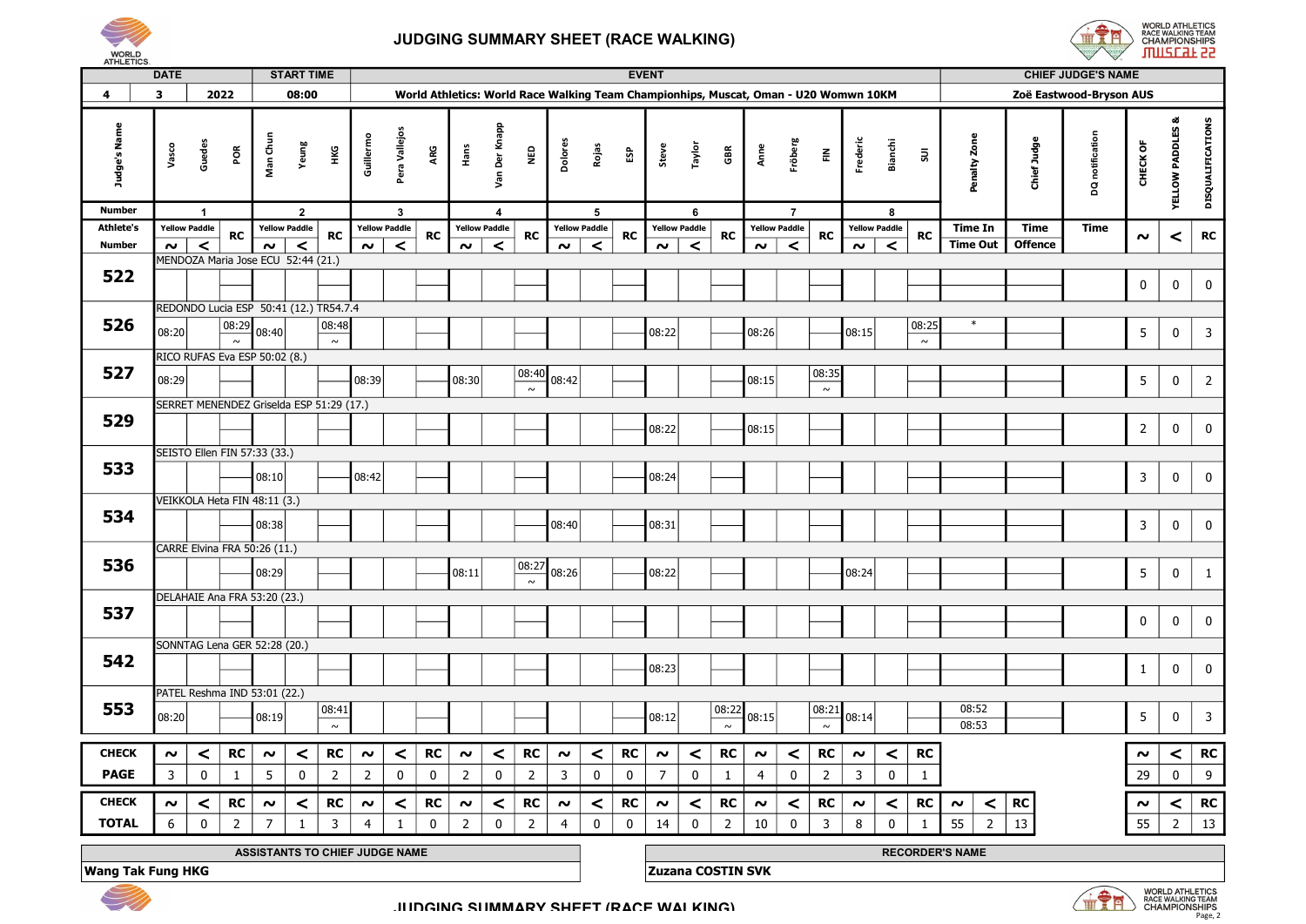

## JUDGING SUMMARY SHEET (RACE WALKING)



|                  | <b>DATE</b>                                                |                              |                 | <b>START TIME</b><br><b>EVENT</b><br><b>CHIEF JUDGE'S NAME</b><br>08:00<br>World Athletics: World Race Walking Team Championhips, Muscat, Oman - U20 Womwn 10KM<br>Zoë Eastwood-Bryson AUS |                      |                 |                |                      |             |                |                      |                                               |                |                      |  |             |                          |             |                 |                |                      |                 |                        |                      |                 |                      |                |                 |                |                                                                |                         |
|------------------|------------------------------------------------------------|------------------------------|-----------------|--------------------------------------------------------------------------------------------------------------------------------------------------------------------------------------------|----------------------|-----------------|----------------|----------------------|-------------|----------------|----------------------|-----------------------------------------------|----------------|----------------------|--|-------------|--------------------------|-------------|-----------------|----------------|----------------------|-----------------|------------------------|----------------------|-----------------|----------------------|----------------|-----------------|----------------|----------------------------------------------------------------|-------------------------|
| $\overline{a}$   | 3                                                          |                              | 2022            |                                                                                                                                                                                            |                      |                 |                |                      |             |                |                      |                                               |                |                      |  |             |                          |             |                 |                |                      |                 |                        |                      |                 |                      |                |                 |                |                                                                |                         |
| Judge's Name     | Vasco                                                      | Guedes                       | POR             | Man Chun                                                                                                                                                                                   | Yeung                | нĸG             | Guillermo      | Pera Vallejos        | ARG         | Hans           | Der Knapp<br>yan     | <b>Q3N</b>                                    | Dolores        | Rojas                |  | និ          | Steve                    | Taylor      | GBR             | Anne           | Fröberg              | $\tilde{\Xi}$   | Frederic               | Bianchi              | $\Xi$           | Penalty Zone         | Chief Judg     | DQ notification | CHECK OF       | ಷ<br><b>YELLOW PADDLES</b>                                     | DISQUALIFICATIONS       |
| <b>Number</b>    |                                                            |                              |                 |                                                                                                                                                                                            | $\overline{2}$       |                 |                | $\mathbf{3}$         |             |                | 4                    |                                               |                | 5                    |  |             |                          | 6           |                 |                | $\overline{7}$       |                 |                        | 8                    |                 |                      |                |                 |                |                                                                |                         |
| <b>Athlete's</b> |                                                            | <b>Yellow Paddle</b>         | <b>RC</b>       |                                                                                                                                                                                            | <b>Yellow Paddle</b> | <b>RC</b>       |                | <b>Yellow Paddle</b> | RC          |                | <b>Yellow Paddle</b> | <b>RC</b>                                     |                | <b>Yellow Paddle</b> |  | RC          | <b>Yellow Paddle</b>     |             | RC              |                | <b>Yellow Paddle</b> | <b>RC</b>       |                        | <b>Yellow Paddle</b> | RC              | <b>Time In</b>       | Time           | Time            | $\sim$         | $\,<$                                                          | RC                      |
| Number           | $\sim$ $\overline{ }$                                      | $\prec$                      |                 | $\sim$<br>MENDOZA Maria Jose ECU 52:44 (21.)                                                                                                                                               | $\prec$              |                 | $\sim$         | $\prec$              |             | $\sim$         | $\prec$              |                                               |                | $\prec$<br>$\sim$    |  |             | $\sim$                   | $\prec$     |                 | $\sim$         | $\prec$              |                 | $\sim$                 | $\prec$              |                 | <b>Time Out</b>      | <b>Offence</b> |                 |                |                                                                |                         |
| 522              |                                                            |                              |                 |                                                                                                                                                                                            |                      |                 |                |                      |             |                |                      |                                               |                |                      |  |             |                          |             |                 |                |                      |                 |                        |                      |                 |                      |                |                 | $\mathbf 0$    | $\mathbf 0$                                                    | $\mathbf 0$             |
|                  |                                                            |                              |                 | REDONDO Lucia ESP 50:41 (12.) TR54.7.4                                                                                                                                                     |                      |                 |                |                      |             |                |                      |                                               |                |                      |  |             |                          |             |                 |                |                      |                 |                        |                      |                 |                      |                |                 |                |                                                                |                         |
| 526              | 08:20                                                      |                              | 08:29<br>$\sim$ | 08:40                                                                                                                                                                                      |                      | 08:48<br>$\sim$ |                |                      |             |                |                      |                                               |                |                      |  |             | 08:22                    |             |                 | 08:26          |                      |                 | 08:15                  |                      | 08:25<br>$\sim$ | $\ast$               |                |                 | 5 <sub>5</sub> | $\mathbf 0$                                                    | $\overline{3}$          |
|                  |                                                            |                              |                 | RICO RUFAS Eva ESP 50:02 (8.)                                                                                                                                                              |                      |                 |                |                      |             |                |                      |                                               |                |                      |  |             |                          |             |                 |                |                      |                 |                        |                      |                 |                      |                |                 |                |                                                                |                         |
| 527              | 08:29                                                      |                              |                 |                                                                                                                                                                                            |                      |                 | 08:39          |                      |             | 08:30          |                      | 08:40<br>$\sim$                               | 08:42          |                      |  |             |                          |             |                 | 08:15          |                      | 08:35<br>$\sim$ |                        |                      |                 |                      |                |                 | 5 <sub>5</sub> | $\mathbf 0$                                                    | $\overline{2}$          |
| 529              |                                                            |                              |                 | SERRET MENENDEZ Griselda ESP 51:29 (17.)                                                                                                                                                   |                      |                 |                |                      |             |                |                      |                                               |                |                      |  |             | 08:22                    |             |                 | 08:15          |                      |                 |                        |                      |                 |                      |                |                 | $\overline{2}$ | $\mathbf 0$                                                    | $\mathbf 0$             |
|                  |                                                            |                              |                 | SEISTO Ellen FIN 57:33 (33.)                                                                                                                                                               |                      |                 |                |                      |             |                |                      |                                               |                |                      |  |             |                          |             |                 |                |                      |                 |                        |                      |                 |                      |                |                 |                |                                                                |                         |
| 533              |                                                            |                              |                 | 08:10                                                                                                                                                                                      |                      |                 | 08:42          |                      |             |                |                      |                                               |                |                      |  |             | 08:24                    |             |                 |                |                      |                 |                        |                      |                 |                      |                |                 | $\mathbf{3}$   | 0                                                              | $\pmb{0}$               |
|                  |                                                            |                              |                 | VEIKKOLA Heta FIN 48:11 (3.)                                                                                                                                                               |                      |                 |                |                      |             |                |                      |                                               |                |                      |  |             |                          |             |                 |                |                      |                 |                        |                      |                 |                      |                |                 |                |                                                                |                         |
| 534              |                                                            |                              |                 | 08:38                                                                                                                                                                                      |                      |                 |                |                      |             |                |                      |                                               | 08:40          |                      |  |             | 08:31                    |             |                 |                |                      |                 |                        |                      |                 |                      |                |                 | $\mathbf{3}$   | $\mathbf 0$                                                    | $\mathbf 0$             |
|                  |                                                            |                              |                 | CARRE Elvina FRA 50:26 (11.)                                                                                                                                                               |                      |                 |                |                      |             |                |                      |                                               |                |                      |  |             |                          |             |                 |                |                      |                 |                        |                      |                 |                      |                |                 |                |                                                                |                         |
| 536              |                                                            |                              |                 | 08:29                                                                                                                                                                                      |                      |                 |                |                      |             | 08:11          |                      | 08:27<br>$\sim$                               | 08:26          |                      |  |             | 08:22                    |             |                 |                |                      |                 | 08:24                  |                      |                 |                      |                |                 | 5 <sub>5</sub> | $\mathbf 0$                                                    | $\mathbf{1}$            |
|                  |                                                            |                              |                 | DELAHAIE Ana FRA 53:20 (23.)                                                                                                                                                               |                      |                 |                |                      |             |                |                      |                                               |                |                      |  |             |                          |             |                 |                |                      |                 |                        |                      |                 |                      |                |                 |                |                                                                |                         |
| 537              |                                                            |                              |                 |                                                                                                                                                                                            |                      |                 |                |                      |             |                |                      |                                               |                |                      |  |             |                          |             |                 |                |                      |                 |                        |                      |                 |                      |                |                 | $\pmb{0}$      | $\mathbf 0$                                                    | $\bf{0}$                |
|                  |                                                            |                              |                 | SONNTAG Lena GER 52:28 (20.)                                                                                                                                                               |                      |                 |                |                      |             |                |                      |                                               |                |                      |  |             |                          |             |                 |                |                      |                 |                        |                      |                 |                      |                |                 |                |                                                                |                         |
| 542              |                                                            |                              |                 |                                                                                                                                                                                            |                      |                 |                |                      |             |                |                      |                                               |                |                      |  |             | 08:23                    |             |                 |                |                      |                 |                        |                      |                 |                      |                |                 | 1              | $\mathbf 0$                                                    | $\mathbf 0$             |
|                  |                                                            | PATEL Reshma IND 53:01 (22.) |                 |                                                                                                                                                                                            |                      |                 |                |                      |             |                |                      |                                               |                |                      |  |             |                          |             |                 |                |                      |                 |                        |                      |                 |                      |                |                 |                |                                                                |                         |
| 553              | 08:20                                                      |                              |                 | 08:19                                                                                                                                                                                      |                      | 08:41<br>$\sim$ |                |                      |             |                |                      |                                               |                |                      |  |             | 08:12                    |             | 08:22<br>$\sim$ | 08:15          |                      | 08:21<br>$\sim$ | 08:14                  |                      |                 | 08:52<br>08:53       |                |                 | 5              | $\mathbf 0$                                                    | $\overline{\mathbf{3}}$ |
| <b>CHECK</b>     | $\sim$                                                     | $\prec$                      | <b>RC</b>       | $\sim$                                                                                                                                                                                     | $\prec$              | <b>RC</b>       | $\sim$         | $\prec$              | RC          | $\sim$         | $\prec$              | <b>RC</b>                                     | $\sim$         | $\prec$              |  | <b>RC</b>   | $\sim$                   | $\prec$     | <b>RC</b>       | $\sim$         | $\prec$              | <b>RC</b>       | $\sim$                 | $\prec$              | <b>RC</b>       |                      |                |                 | $\sim$         | $\prec$                                                        | <b>RC</b>               |
| <b>PAGE</b>      | $\overline{3}$                                             | 0                            | -1              | 5                                                                                                                                                                                          | 0                    | $\overline{2}$  | $\overline{2}$ | 0                    | $\mathbf 0$ | $\overline{2}$ | 0                    | $\overline{2}$                                | 3              | 0                    |  | $\mathbf 0$ | $\overline{7}$           | 0           |                 | $\overline{a}$ | 0                    | $\overline{2}$  | $\overline{3}$         | $\mathbf 0$          | -1              |                      |                |                 | 29             | $\mathbf 0$                                                    | 9                       |
| <b>CHECK</b>     | $\sim$                                                     | $\prec$                      | <b>RC</b>       | $\sim$                                                                                                                                                                                     | $\prec$              | <b>RC</b>       | $\sim$         | $\prec$              | <b>RC</b>   | $\sim$         | $\prec$              | <b>RC</b>                                     | $\sim$         | $\prec$              |  | RC          | $\sim$                   | $\prec$     | <b>RC</b>       | $\sim$         | ≺                    | <b>RC</b>       | $\sim$                 | $\prec$              | <b>RC</b>       | $\prec$<br>$\sim$    | RC             |                 | $\sim$         | $\prec$                                                        | <b>RC</b>               |
| <b>TOTAL</b>     | 6                                                          | $\mathbf 0$                  | $\overline{2}$  | $\overline{7}$                                                                                                                                                                             |                      | $\overline{3}$  | $\overline{4}$ |                      | $\mathbf 0$ | $\overline{2}$ | 0                    | 2                                             | $\overline{4}$ | $\mathbf 0$          |  | $\mathbf 0$ | 14                       | $\mathbf 0$ | $\overline{2}$  | 10             | $\mathbf 0$          | $\overline{3}$  | 8                      | $\mathbf 0$          | $\overline{1}$  | 55<br>$\overline{2}$ | 13             |                 | 55             | $\overline{2}$                                                 | 13                      |
|                  |                                                            |                              |                 |                                                                                                                                                                                            |                      |                 |                |                      |             |                |                      |                                               |                |                      |  |             |                          |             |                 |                |                      |                 |                        |                      |                 |                      |                |                 |                |                                                                |                         |
|                  | ASSISTANTS TO CHIEF JUDGE NAME<br><b>Wang Tak Fung HKG</b> |                              |                 |                                                                                                                                                                                            |                      |                 |                |                      |             |                |                      |                                               |                |                      |  |             | <b>Zuzana COSTIN SVK</b> |             |                 |                |                      |                 | <b>RECORDER'S NAME</b> |                      |                 |                      |                |                 |                |                                                                |                         |
|                  |                                                            |                              |                 |                                                                                                                                                                                            |                      |                 |                |                      |             |                |                      | <b>ILIDGING SHMMARY SHEET (RACE WAI KING)</b> |                |                      |  |             |                          |             |                 |                |                      |                 |                        |                      |                 |                      |                | 前方              |                | <b>WORLD ATHLETICS<br/>RACE WALKING TEAM<br/>CHAMPIONSHIPS</b> |                         |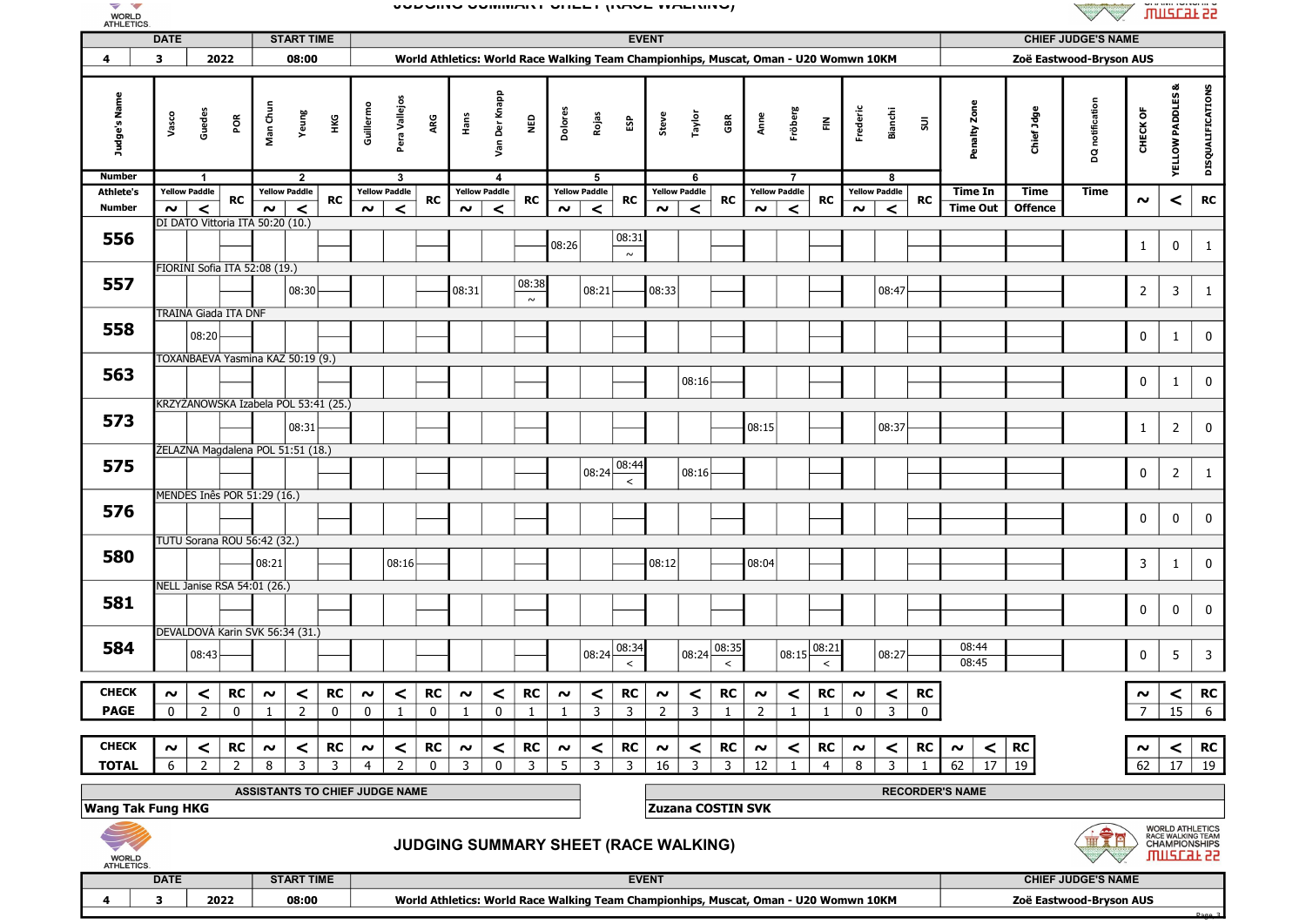

## JUDGING SUMMARY SHEET (RACE WALKING)



Page, 3

| ATHLETICS.                       |                     |                      |                             |                                                       |                                  |                     |                      |                                      |                |                      |                  |                      |                      |                |                         |                     |                         |                |                          |                      |                                                                                      |                     |                         |                          |                        |                           | $\vee$<br>$\vee$          |                |                                                                             |                         |  |  |
|----------------------------------|---------------------|----------------------|-----------------------------|-------------------------------------------------------|----------------------------------|---------------------|----------------------|--------------------------------------|----------------|----------------------|------------------|----------------------|----------------------|----------------|-------------------------|---------------------|-------------------------|----------------|--------------------------|----------------------|--------------------------------------------------------------------------------------|---------------------|-------------------------|--------------------------|------------------------|---------------------------|---------------------------|----------------|-----------------------------------------------------------------------------|-------------------------|--|--|
| <b>DATE</b><br><b>START TIME</b> |                     |                      |                             |                                                       |                                  |                     |                      |                                      |                |                      |                  | <b>EVENT</b>         |                      |                |                         |                     |                         |                |                          |                      |                                                                                      |                     |                         |                          |                        | <b>CHIEF JUDGE'S NAME</b> |                           |                |                                                                             |                         |  |  |
| 4                                | 3                   |                      | 2022                        | 08:00                                                 |                                  |                     |                      |                                      |                |                      |                  |                      |                      |                |                         |                     |                         |                |                          |                      | World Athletics: World Race Walking Team Championhips, Muscat, Oman - U20 Womwn 10KM |                     |                         |                          |                        |                           | Zoë Eastwood-Bryson AUS   |                |                                                                             |                         |  |  |
| Judge's Name                     | Vasco               | Guedes               | ΡÕ                          | Man Chun<br>Yeung                                     | НKG                              | Guillermo           | Pera Vallejos        | ARG                                  |                | Hans                 | Der Knapp<br>Van | <b>Q3N</b>           | <b>Dolores</b>       | Rojas          | និ                      | Steve               | Taylor                  | ã              | Anne                     | Fröberg              | 룬                                                                                    | Frederic            | Bianchi                 | $\overline{\mathsf{su}}$ | Penalty Zone           | Chief Jdge                | DQ notification           | CHECK OF       | య<br><b>YELLOW PADDLES</b>                                                  | DISQUALIFICATIONS       |  |  |
| <b>Number</b>                    |                     | -1                   |                             | $\overline{2}$                                        |                                  |                     | 3                    |                                      |                |                      | 4                |                      |                      | 5              |                         |                     | -6                      |                |                          | - 7                  |                                                                                      |                     | 8                       |                          |                        |                           |                           |                |                                                                             |                         |  |  |
| <b>Athlete's</b>                 |                     | <b>Yellow Paddle</b> | RC                          | <b>Yellow Paddle</b>                                  | <b>RC</b>                        |                     | <b>Yellow Paddle</b> | <b>RC</b>                            |                | <b>Yellow Paddle</b> |                  | <b>RC</b>            | <b>Yellow Paddle</b> |                | <b>RC</b>               |                     | Yellow Paddle           | RC             |                          | <b>Yellow Paddle</b> | <b>RC</b>                                                                            |                     | <b>Yellow Paddle</b>    | RC                       | Time In                | Time                      | Time                      | $\sim$         | $\,<$                                                                       | RC                      |  |  |
| Number                           | $\sim$ $\mid$       | $\prec$              |                             | $\prec$<br>$\sim$<br>DI DATO Vittoria ITA 50:20 (10.) |                                  | $\sim$              | $\prec$              |                                      |                | $\sim$               | $\prec$          |                      | $\sim$               | $\prec$        |                         | $\sim$              | $\prec$                 |                | $\sim$                   | $\prec$              |                                                                                      | $\sim$              | $\prec$                 |                          | <b>Time Out</b>        | <b>Offence</b>            |                           |                |                                                                             |                         |  |  |
| 556                              |                     |                      |                             |                                                       |                                  |                     |                      |                                      |                |                      |                  |                      | 08:26                |                | 08:31<br>$\sim$         |                     |                         |                |                          |                      |                                                                                      |                     |                         |                          |                        |                           |                           | $\mathbf{1}$   | $\mathbf 0$                                                                 | $\mathbf{1}$            |  |  |
|                                  |                     |                      |                             | FIORINI Sofia ITA 52:08 (19.)                         |                                  |                     |                      |                                      |                |                      |                  |                      |                      |                |                         |                     |                         |                |                          |                      |                                                                                      |                     |                         |                          |                        |                           |                           |                |                                                                             |                         |  |  |
| 557                              |                     |                      |                             | 08:30                                                 |                                  |                     |                      |                                      |                | 08:31                |                  | $\frac{08:38}{\sim}$ |                      | 08:21          |                         | 08:33               |                         |                |                          |                      |                                                                                      |                     | 08:47                   |                          |                        |                           |                           | $\overline{2}$ | $\overline{\mathbf{3}}$                                                     | $\mathbf{1}$            |  |  |
|                                  |                     |                      | TRAINA Giada ITA DNF        |                                                       |                                  |                     |                      |                                      |                |                      |                  |                      |                      |                |                         |                     |                         |                |                          |                      |                                                                                      |                     |                         |                          |                        |                           |                           |                |                                                                             |                         |  |  |
| 558                              |                     | 08:20                |                             |                                                       |                                  |                     |                      |                                      |                |                      |                  |                      |                      |                |                         |                     |                         |                |                          |                      |                                                                                      |                     |                         |                          |                        |                           |                           | $\mathbf 0$    | $\mathbf{1}$                                                                | $\mathbf 0$             |  |  |
|                                  |                     |                      |                             | TOXANBAEVA Yasmina KAZ 50:19 (9.)                     |                                  |                     |                      |                                      |                |                      |                  |                      |                      |                |                         |                     |                         |                |                          |                      |                                                                                      |                     |                         |                          |                        |                           |                           |                |                                                                             |                         |  |  |
| 563                              |                     |                      |                             |                                                       |                                  |                     |                      |                                      |                |                      |                  |                      |                      |                |                         |                     | 08:16                   |                |                          |                      |                                                                                      |                     |                         |                          |                        |                           |                           | $\bf{0}$       | $\mathbf{1}$                                                                | $\mathbf 0$             |  |  |
|                                  |                     |                      |                             | KRZYŻANOWSKA Izabela POL 53:41 (25.)                  |                                  |                     |                      |                                      |                |                      |                  |                      |                      |                |                         |                     |                         |                |                          |                      |                                                                                      |                     |                         |                          |                        |                           |                           |                |                                                                             |                         |  |  |
| 573                              |                     |                      |                             |                                                       | 08:31                            |                     |                      |                                      |                |                      |                  |                      |                      |                |                         |                     |                         |                | 08:15                    |                      |                                                                                      |                     | 08:37                   |                          |                        |                           |                           | $\mathbf{1}$   | $\overline{2}$                                                              | $\mathbf 0$             |  |  |
|                                  |                     |                      |                             |                                                       |                                  |                     |                      |                                      |                |                      |                  |                      |                      |                |                         |                     |                         |                |                          |                      |                                                                                      |                     |                         |                          |                        |                           |                           |                |                                                                             |                         |  |  |
| 575                              |                     |                      |                             | ŻELAZNA Magdalena POL 51:51 (18.)                     |                                  |                     |                      |                                      |                |                      |                  |                      |                      | 08:24          | 08:44                   |                     | 08:16                   |                |                          |                      |                                                                                      |                     |                         |                          |                        |                           |                           | $\mathbf 0$    | $\overline{2}$                                                              | $\mathbf{1}$            |  |  |
|                                  |                     |                      |                             | MENDES Inês POR 51:29 (16.)                           |                                  |                     |                      |                                      |                |                      |                  |                      |                      |                | $\,<$                   |                     |                         |                |                          |                      |                                                                                      |                     |                         |                          |                        |                           |                           |                |                                                                             |                         |  |  |
| 576                              |                     |                      |                             |                                                       |                                  |                     |                      |                                      |                |                      |                  |                      |                      |                |                         |                     |                         |                |                          |                      |                                                                                      |                     |                         |                          |                        |                           |                           | $\mathbf 0$    | $\mathbf 0$                                                                 | $\pmb{0}$               |  |  |
|                                  |                     |                      |                             |                                                       |                                  |                     |                      |                                      |                |                      |                  |                      |                      |                |                         |                     |                         |                |                          |                      |                                                                                      |                     |                         |                          |                        |                           |                           |                |                                                                             |                         |  |  |
| 580                              |                     |                      |                             | TUTU Sorana ROU 56:42 (32.)                           |                                  |                     |                      |                                      |                |                      |                  |                      |                      |                |                         |                     |                         |                |                          |                      |                                                                                      |                     |                         |                          |                        |                           |                           |                |                                                                             |                         |  |  |
|                                  |                     |                      |                             | 08:21                                                 |                                  |                     | 08:16                |                                      |                |                      |                  |                      |                      |                |                         | 08:12               |                         |                | 08:04                    |                      |                                                                                      |                     |                         |                          |                        |                           |                           | $\mathbf{3}$   | $\mathbf{1}$                                                                | $\pmb{0}$               |  |  |
|                                  |                     |                      | NELL Janise RSA 54:01 (26.) |                                                       |                                  |                     |                      |                                      |                |                      |                  |                      |                      |                |                         |                     |                         |                |                          |                      |                                                                                      |                     |                         |                          |                        |                           |                           |                |                                                                             |                         |  |  |
| 581                              |                     |                      |                             |                                                       |                                  |                     |                      |                                      |                |                      |                  |                      |                      |                |                         |                     |                         |                |                          |                      |                                                                                      |                     |                         |                          |                        |                           |                           | $\mathbf 0$    | $\pmb{0}$                                                                   | $\pmb{0}$               |  |  |
|                                  |                     |                      |                             | DEVALDOVÁ Karin SVK 56:34 (31.)                       |                                  |                     |                      |                                      |                |                      |                  |                      |                      |                |                         |                     |                         |                |                          |                      |                                                                                      |                     |                         |                          |                        |                           |                           |                |                                                                             |                         |  |  |
| 584                              |                     |                      |                             |                                                       |                                  |                     |                      |                                      |                |                      |                  |                      |                      |                | 08:34                   |                     |                         | 08:35          |                          |                      | 08:21                                                                                |                     |                         |                          | 08:44                  |                           |                           |                |                                                                             |                         |  |  |
|                                  |                     | 08:43                |                             |                                                       |                                  |                     |                      |                                      |                |                      |                  |                      |                      | 08:24          | $\prec$                 |                     | 08:24                   | $\,<$          |                          | 08:15                |                                                                                      |                     | 08:27                   |                          | 08:45                  |                           |                           | $\mathbf 0$    | 5                                                                           | $\overline{\mathbf{3}}$ |  |  |
| <b>CHECK</b>                     | $\sim$              | $\prec$              | RC                          | $\boldsymbol{\sim}$                                   | <b>RC</b><br>$\prec$             | $\boldsymbol{\sim}$ | $\,<$                | RC                                   |                | $\boldsymbol{\sim}$  | $\prec$          | RC                   | $\sim$               | $\,<$          | RC                      | $\boldsymbol{\sim}$ | $\prec$                 | RC             | $\boldsymbol{\sim}$      | $\prec$              | RC                                                                                   | $\sim$              | $\prec$                 | RC                       |                        |                           |                           | $\sim$         | $\prec$                                                                     | <b>RC</b>               |  |  |
| <b>PAGE</b>                      | $\mathbf{0}$        | $\overline{2}$       | $\overline{0}$              | $\overline{2}$<br>$\mathbf{1}$                        | $\overline{\phantom{0}}$         | $\mathbf{0}$        | $\mathbf{1}$         | $\mathbf{0}$                         | $\overline{1}$ |                      | $\mathbf{0}$     | $\overline{1}$       | $\overline{1}$       | $\overline{3}$ | $\overline{3}$          | $\overline{z}$      | $\overline{\mathbf{3}}$ |                | $\overline{2}$           | $\blacksquare$       | $\overline{1}$                                                                       | $\mathbf{0}$        | $\overline{\mathbf{3}}$ | $\overline{0}$           |                        |                           |                           | 7              | 15                                                                          | $6\overline{}$          |  |  |
|                                  |                     |                      |                             |                                                       |                                  |                     |                      |                                      |                |                      |                  |                      |                      |                |                         |                     |                         |                |                          |                      |                                                                                      |                     |                         |                          |                        |                           |                           |                |                                                                             |                         |  |  |
| <b>CHECK</b>                     | $\boldsymbol{\sim}$ | $\prec$              | <b>RC</b>                   | $\boldsymbol{\sim}$                                   | <b>RC</b><br>$\prec$             | $\sim$              | $\prec$              | <b>RC</b>                            |                | $\boldsymbol{\sim}$  | $\prec$          | <b>RC</b>            | $\sim$               | $\prec$        | <b>RC</b>               | $\sim$              | $\prec$                 | <b>RC</b>      | $\boldsymbol{\sim}$      | $\prec$              | <b>RC</b>                                                                            | $\boldsymbol{\sim}$ | $\prec$                 | <b>RC</b>                | $\prec$<br>$\sim$      | <b>RC</b>                 |                           | $\sim$         | $\prec$                                                                     | <b>RC</b>               |  |  |
| <b>TOTAL</b>                     | 6                   | $\overline{2}$       | 2                           | 8                                                     | $\overline{3}$<br>$\overline{3}$ | $\overline{4}$      | $\overline{2}$       | $\Omega$                             |                | $\overline{3}$       | $\mathbf{0}$     | $\overline{3}$       | 5                    | $\overline{3}$ | $\overline{\mathbf{3}}$ | 16                  | $\overline{3}$          | $\overline{3}$ | 12                       | $\mathbf{1}$         | $\overline{4}$                                                                       | 8                   | $\overline{3}$          | $\overline{1}$           | 62<br>17 <sup>1</sup>  | 19                        |                           |                | $62$ 17 19                                                                  |                         |  |  |
|                                  |                     |                      |                             | ASSISTANTS TO CHIEF JUDGE NAME                        |                                  |                     |                      |                                      |                |                      |                  |                      |                      |                |                         |                     |                         |                |                          |                      |                                                                                      |                     |                         |                          | <b>RECORDER'S NAME</b> |                           |                           |                |                                                                             |                         |  |  |
| <b>Wang Tak Fung HKG</b>         |                     |                      |                             |                                                       |                                  |                     |                      |                                      |                |                      |                  |                      |                      |                |                         |                     |                         |                | <b>Zuzana COSTIN SVK</b> |                      |                                                                                      |                     |                         |                          |                        |                           |                           |                |                                                                             |                         |  |  |
|                                  |                     |                      |                             |                                                       |                                  |                     |                      | JUDGING SUMMARY SHEET (RACE WALKING) |                |                      |                  |                      |                      |                |                         |                     |                         |                |                          |                      |                                                                                      |                     |                         |                          |                        |                           |                           |                | <b>WORLD ATHLETICS<br/>RACE WALKING TEAM<br/>CHAMPIONSHIPS</b><br>umzcar ss |                         |  |  |
| WORLD<br>ATHLETICS.              |                     |                      |                             |                                                       |                                  |                     |                      |                                      |                |                      |                  |                      |                      |                |                         |                     |                         |                |                          |                      |                                                                                      |                     |                         |                          |                        |                           | <b>CHIEF JUDGE'S NAME</b> |                |                                                                             |                         |  |  |
|                                  | <b>DATE</b>         |                      |                             | <b>START TIME</b>                                     |                                  |                     |                      |                                      |                |                      |                  |                      |                      |                |                         | <b>EVENT</b>        |                         |                |                          |                      |                                                                                      |                     |                         |                          |                        |                           |                           |                |                                                                             |                         |  |  |

4 3 2022 08:00 World Athletics: World Race Walking Team Championhips, Muscat, Oman - U20 Womwn 10KM Zoë Eastwood-Bryson AUS